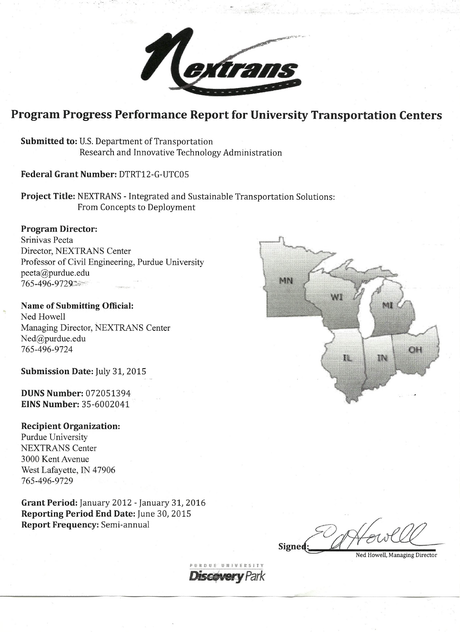

# Program Progress Performance Report for University Transportation Centers

**Submitted to: U.S. Department of Transportation** Research and Innovative Technology Administration

# Federal Grant Number: DTRT12-G-UTC05

Project Title: NEXTRANS - Integrated and Sustainable Transportation Solutions: From Concepts to Deployment

# **Program Director:**

Srinivas Peeta Director, NEXTRANS Center Professor of Civil Engineering, Purdue University peeta@purdue.edu 765-496-9729

Name of Submitting Official: Ned Howell Managing Director, NEXTRANS Center Ned@purdue.edu 765-496-9724

Submission Date: July 31, 2015

**DUNS Number: 072051394 EINS Number: 35-6002041** 

# **Recipient Organization:**

**Purdue University NEXTRANS** Center 3000 Kent Avenue West Lafayette, IN 47906 765-496-9729

Grant Period: January 2012 - January 31, 2016 Reporting Period End Date: June 30, 2015 **Report Frequency: Semi-annual** 



Signed

Ned Howell, Managing Director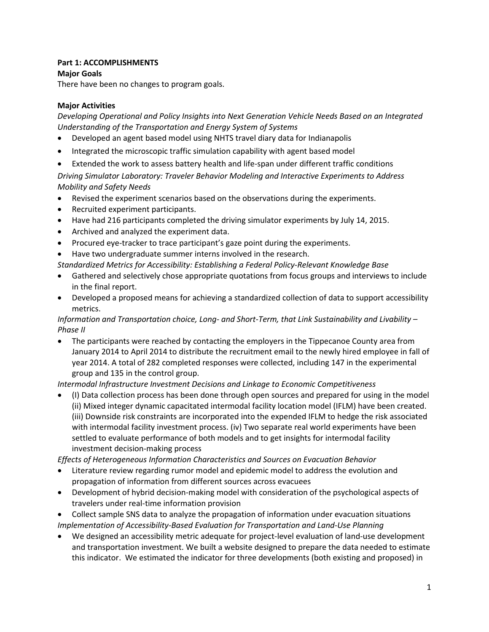# **Part 1: ACCOMPLISHMENTS**

# **Major Goals**

There have been no changes to program goals.

# **Major Activities**

*Developing Operational and Policy Insights into Next Generation Vehicle Needs Based on an Integrated Understanding of the Transportation and Energy System of Systems*

- Developed an agent based model using NHTS travel diary data for Indianapolis
- Integrated the microscopic traffic simulation capability with agent based model
- Extended the work to assess battery health and life-span under different traffic conditions

*Driving Simulator Laboratory: Traveler Behavior Modeling and Interactive Experiments to Address Mobility and Safety Needs*

- Revised the experiment scenarios based on the observations during the experiments.
- Recruited experiment participants.
- Have had 216 participants completed the driving simulator experiments by July 14, 2015.
- Archived and analyzed the experiment data.
- Procured eye-tracker to trace participant's gaze point during the experiments.
- Have two undergraduate summer interns involved in the research.
- *Standardized Metrics for Accessibility: Establishing a Federal Policy-Relevant Knowledge Base*
- Gathered and selectively chose appropriate quotations from focus groups and interviews to include in the final report.
- Developed a proposed means for achieving a standardized collection of data to support accessibility metrics.

*Information and Transportation choice, Long- and Short-Term, that Link Sustainability and Livability – Phase II*

• The participants were reached by contacting the employers in the Tippecanoe County area from January 2014 to April 2014 to distribute the recruitment email to the newly hired employee in fall of year 2014. A total of 282 completed responses were collected, including 147 in the experimental group and 135 in the control group.

*Intermodal Infrastructure Investment Decisions and Linkage to Economic Competitiveness*

• (I) Data collection process has been done through open sources and prepared for using in the model (ii) Mixed integer dynamic capacitated intermodal facility location model (IFLM) have been created. (iii) Downside risk constraints are incorporated into the expended IFLM to hedge the risk associated with intermodal facility investment process. (iv) Two separate real world experiments have been settled to evaluate performance of both models and to get insights for intermodal facility investment decision-making process

*Effects of Heterogeneous Information Characteristics and Sources on Evacuation Behavior*

- Literature review regarding rumor model and epidemic model to address the evolution and propagation of information from different sources across evacuees
- Development of hybrid decision-making model with consideration of the psychological aspects of travelers under real-time information provision
- Collect sample SNS data to analyze the propagation of information under evacuation situations *Implementation of Accessibility-Based Evaluation for Transportation and Land-Use Planning*
- We designed an accessibility metric adequate for project-level evaluation of land-use development and transportation investment. We built a website designed to prepare the data needed to estimate this indicator. We estimated the indicator for three developments (both existing and proposed) in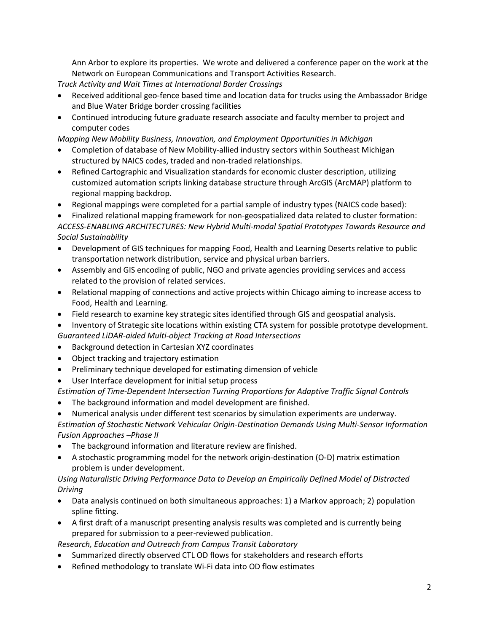Ann Arbor to explore its properties. We wrote and delivered a conference paper on the work at the Network on European Communications and Transport Activities Research.

*Truck Activity and Wait Times at International Border Crossings*

- Received additional geo-fence based time and location data for trucks using the Ambassador Bridge and Blue Water Bridge border crossing facilities
- Continued introducing future graduate research associate and faculty member to project and computer codes

*Mapping New Mobility Business, Innovation, and Employment Opportunities in Michigan*

- Completion of database of New Mobility-allied industry sectors within Southeast Michigan structured by NAICS codes, traded and non-traded relationships.
- Refined Cartographic and Visualization standards for economic cluster description, utilizing customized automation scripts linking database structure through ArcGIS (ArcMAP) platform to regional mapping backdrop.
- Regional mappings were completed for a partial sample of industry types (NAICS code based):

• Finalized relational mapping framework for non-geospatialized data related to cluster formation: *ACCESS-ENABLING ARCHITECTURES: New Hybrid Multi-modal Spatial Prototypes Towards Resource and Social Sustainability*

- Development of GIS techniques for mapping Food, Health and Learning Deserts relative to public transportation network distribution, service and physical urban barriers.
- Assembly and GIS encoding of public, NGO and private agencies providing services and access related to the provision of related services.
- Relational mapping of connections and active projects within Chicago aiming to increase access to Food, Health and Learning.
- Field research to examine key strategic sites identified through GIS and geospatial analysis.
- Inventory of Strategic site locations within existing CTA system for possible prototype development. *Guaranteed LiDAR-aided Multi-object Tracking at Road Intersections*
- Background detection in Cartesian XYZ coordinates
- Object tracking and trajectory estimation
- Preliminary technique developed for estimating dimension of vehicle
- User Interface development for initial setup process

*Estimation of Time-Dependent Intersection Turning Proportions for Adaptive Traffic Signal Controls*

- The background information and model development are finished.
- Numerical analysis under different test scenarios by simulation experiments are underway.

*Estimation of Stochastic Network Vehicular Origin-Destination Demands Using Multi-Sensor Information Fusion Approaches –Phase II*

- The background information and literature review are finished.
- A stochastic programming model for the network origin-destination (O-D) matrix estimation problem is under development.

*Using Naturalistic Driving Performance Data to Develop an Empirically Defined Model of Distracted Driving*

- Data analysis continued on both simultaneous approaches: 1) a Markov approach; 2) population spline fitting.
- A first draft of a manuscript presenting analysis results was completed and is currently being prepared for submission to a peer-reviewed publication.

*Research, Education and Outreach from Campus Transit Laboratory*

- Summarized directly observed CTL OD flows for stakeholders and research efforts
- Refined methodology to translate Wi-Fi data into OD flow estimates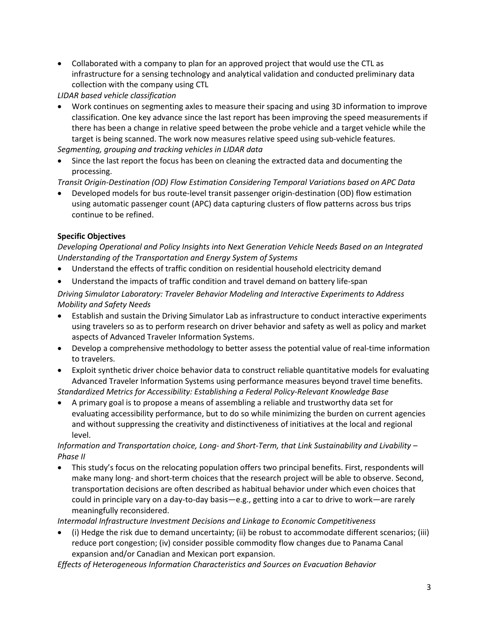• Collaborated with a company to plan for an approved project that would use the CTL as infrastructure for a sensing technology and analytical validation and conducted preliminary data collection with the company using CTL

*LIDAR based vehicle classification*

• Work continues on segmenting axles to measure their spacing and using 3D information to improve classification. One key advance since the last report has been improving the speed measurements if there has been a change in relative speed between the probe vehicle and a target vehicle while the target is being scanned. The work now measures relative speed using sub-vehicle features.

*Segmenting, grouping and tracking vehicles in LIDAR data*

• Since the last report the focus has been on cleaning the extracted data and documenting the processing.

*Transit Origin-Destination (OD) Flow Estimation Considering Temporal Variations based on APC Data*

• Developed models for bus route-level transit passenger origin-destination (OD) flow estimation using automatic passenger count (APC) data capturing clusters of flow patterns across bus trips continue to be refined.

# **Specific Objectives**

*Developing Operational and Policy Insights into Next Generation Vehicle Needs Based on an Integrated Understanding of the Transportation and Energy System of Systems*

- Understand the effects of traffic condition on residential household electricity demand
- Understand the impacts of traffic condition and travel demand on battery life-span

*Driving Simulator Laboratory: Traveler Behavior Modeling and Interactive Experiments to Address Mobility and Safety Needs*

- Establish and sustain the Driving Simulator Lab as infrastructure to conduct interactive experiments using travelers so as to perform research on driver behavior and safety as well as policy and market aspects of Advanced Traveler Information Systems.
- Develop a comprehensive methodology to better assess the potential value of real-time information to travelers.
- Exploit synthetic driver choice behavior data to construct reliable quantitative models for evaluating Advanced Traveler Information Systems using performance measures beyond travel time benefits. *Standardized Metrics for Accessibility: Establishing a Federal Policy-Relevant Knowledge Base*
- A primary goal is to propose a means of assembling a reliable and trustworthy data set for evaluating accessibility performance, but to do so while minimizing the burden on current agencies and without suppressing the creativity and distinctiveness of initiatives at the local and regional level.

# *Information and Transportation choice, Long- and Short-Term, that Link Sustainability and Livability – Phase II*

• This study's focus on the relocating population offers two principal benefits. First, respondents will make many long- and short-term choices that the research project will be able to observe. Second, transportation decisions are often described as habitual behavior under which even choices that could in principle vary on a day-to-day basis—e.g., getting into a car to drive to work—are rarely meaningfully reconsidered.

*Intermodal Infrastructure Investment Decisions and Linkage to Economic Competitiveness*

• (i) Hedge the risk due to demand uncertainty; (ii) be robust to accommodate different scenarios; (iii) reduce port congestion; (iv) consider possible commodity flow changes due to Panama Canal expansion and/or Canadian and Mexican port expansion.

*Effects of Heterogeneous Information Characteristics and Sources on Evacuation Behavior*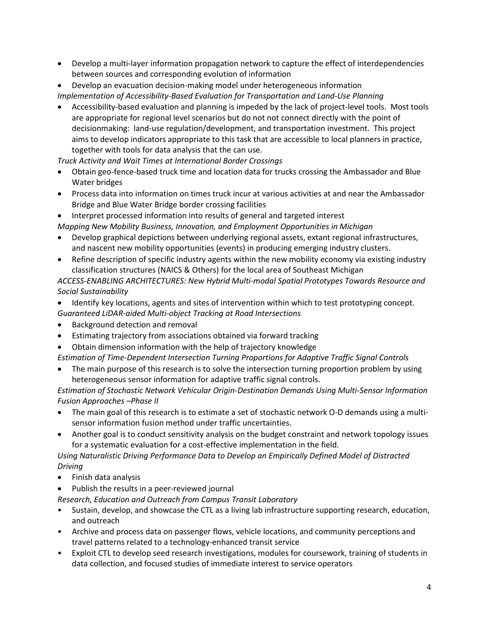- Develop a multi-layer information propagation network to capture the effect of interdependencies between sources and corresponding evolution of information
- Develop an evacuation decision-making model under heterogeneous information

*Implementation of Accessibility-Based Evaluation for Transportation and Land-Use Planning*

• Accessibility-based evaluation and planning is impeded by the lack of project-level tools. Most tools are appropriate for regional level scenarios but do not not connect directly with the point of decisionmaking: land-use regulation/development, and transportation investment. This project aims to develop indicators appropriate to this task that are accessible to local planners in practice, together with tools for data analysis that the can use.

*Truck Activity and Wait Times at International Border Crossings*

- Obtain geo-fence-based truck time and location data for trucks crossing the Ambassador and Blue Water bridges
- Process data into information on times truck incur at various activities at and near the Ambassador Bridge and Blue Water Bridge border crossing facilities
- Interpret processed information into results of general and targeted interest

*Mapping New Mobility Business, Innovation, and Employment Opportunities in Michigan*

- Develop graphical depictions between underlying regional assets, extant regional infrastructures, and nascent new mobility opportunities (events) in producing emerging industry clusters.
- Refine description of specific industry agents within the new mobility economy via existing industry classification structures (NAICS & Others) for the local area of Southeast Michigan

*ACCESS-ENABLING ARCHITECTURES: New Hybrid Multi-modal Spatial Prototypes Towards Resource and Social Sustainability*

- Identify key locations, agents and sites of intervention within which to test prototyping concept.
- *Guaranteed LiDAR-aided Multi-object Tracking at Road Intersections*
- Background detection and removal
- Estimating trajectory from associations obtained via forward tracking
- Obtain dimension information with the help of trajectory knowledge

*Estimation of Time-Dependent Intersection Turning Proportions for Adaptive Traffic Signal Controls*

The main purpose of this research is to solve the intersection turning proportion problem by using heterogeneous sensor information for adaptive traffic signal controls.

*Estimation of Stochastic Network Vehicular Origin-Destination Demands Using Multi-Sensor Information Fusion Approaches –Phase II*

- The main goal of this research is to estimate a set of stochastic network O-D demands using a multisensor information fusion method under traffic uncertainties.
- Another goal is to conduct sensitivity analysis on the budget constraint and network topology issues for a systematic evaluation for a cost-effective implementation in the field.

*Using Naturalistic Driving Performance Data to Develop an Empirically Defined Model of Distracted Driving*

- Finish data analysis
- Publish the results in a peer-reviewed journal
- *Research, Education and Outreach from Campus Transit Laboratory*
- Sustain, develop, and showcase the CTL as a living lab infrastructure supporting research, education, and outreach
- Archive and process data on passenger flows, vehicle locations, and community perceptions and travel patterns related to a technology-enhanced transit service
- Exploit CTL to develop seed research investigations, modules for coursework, training of students in data collection, and focused studies of immediate interest to service operators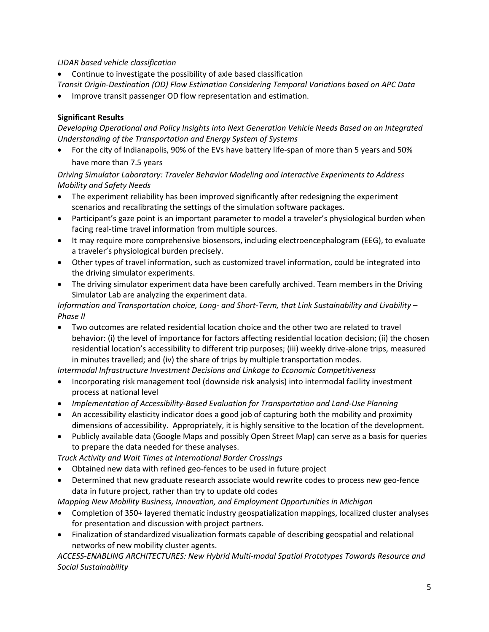# *LIDAR based vehicle classification*

• Continue to investigate the possibility of axle based classification

*Transit Origin-Destination (OD) Flow Estimation Considering Temporal Variations based on APC Data*

• Improve transit passenger OD flow representation and estimation.

# **Significant Results**

*Developing Operational and Policy Insights into Next Generation Vehicle Needs Based on an Integrated Understanding of the Transportation and Energy System of Systems*

• For the city of Indianapolis, 90% of the EVs have battery life-span of more than 5 years and 50% have more than 7.5 years

*Driving Simulator Laboratory: Traveler Behavior Modeling and Interactive Experiments to Address Mobility and Safety Needs*

- The experiment reliability has been improved significantly after redesigning the experiment scenarios and recalibrating the settings of the simulation software packages.
- Participant's gaze point is an important parameter to model a traveler's physiological burden when facing real-time travel information from multiple sources.
- It may require more comprehensive biosensors, including electroencephalogram (EEG), to evaluate a traveler's physiological burden precisely.
- Other types of travel information, such as customized travel information, could be integrated into the driving simulator experiments.
- The driving simulator experiment data have been carefully archived. Team members in the Driving Simulator Lab are analyzing the experiment data.

*Information and Transportation choice, Long- and Short-Term, that Link Sustainability and Livability – Phase II*

• Two outcomes are related residential location choice and the other two are related to travel behavior: (i) the level of importance for factors affecting residential location decision; (ii) the chosen residential location's accessibility to different trip purposes; (iii) weekly drive-alone trips, measured in minutes travelled; and (iv) the share of trips by multiple transportation modes.

*Intermodal Infrastructure Investment Decisions and Linkage to Economic Competitiveness*

- Incorporating risk management tool (downside risk analysis) into intermodal facility investment process at national level
- *Implementation of Accessibility-Based Evaluation for Transportation and Land-Use Planning*
- An accessibility elasticity indicator does a good job of capturing both the mobility and proximity dimensions of accessibility. Appropriately, it is highly sensitive to the location of the development.
- Publicly available data (Google Maps and possibly Open Street Map) can serve as a basis for queries to prepare the data needed for these analyses.

*Truck Activity and Wait Times at International Border Crossings*

- Obtained new data with refined geo-fences to be used in future project
- Determined that new graduate research associate would rewrite codes to process new geo-fence data in future project, rather than try to update old codes

*Mapping New Mobility Business, Innovation, and Employment Opportunities in Michigan*

- Completion of 350+ layered thematic industry geospatialization mappings, localized cluster analyses for presentation and discussion with project partners.
- Finalization of standardized visualization formats capable of describing geospatial and relational networks of new mobility cluster agents.

*ACCESS-ENABLING ARCHITECTURES: New Hybrid Multi-modal Spatial Prototypes Towards Resource and Social Sustainability*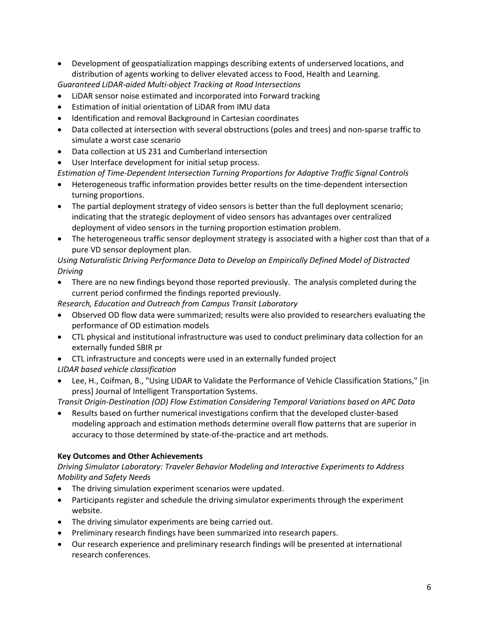• Development of geospatialization mappings describing extents of underserved locations, and distribution of agents working to deliver elevated access to Food, Health and Learning.

*Guaranteed LiDAR-aided Multi-object Tracking at Road Intersections*

- LiDAR sensor noise estimated and incorporated into Forward tracking
- Estimation of initial orientation of LiDAR from IMU data
- Identification and removal Background in Cartesian coordinates
- Data collected at intersection with several obstructions (poles and trees) and non-sparse traffic to simulate a worst case scenario
- Data collection at US 231 and Cumberland intersection
- User Interface development for initial setup process.

*Estimation of Time-Dependent Intersection Turning Proportions for Adaptive Traffic Signal Controls*

- Heterogeneous traffic information provides better results on the time-dependent intersection turning proportions.
- The partial deployment strategy of video sensors is better than the full deployment scenario; indicating that the strategic deployment of video sensors has advantages over centralized deployment of video sensors in the turning proportion estimation problem.
- The heterogeneous traffic sensor deployment strategy is associated with a higher cost than that of a pure VD sensor deployment plan.

# *Using Naturalistic Driving Performance Data to Develop an Empirically Defined Model of Distracted Driving*

• There are no new findings beyond those reported previously. The analysis completed during the current period confirmed the findings reported previously.

*Research, Education and Outreach from Campus Transit Laboratory*

- Observed OD flow data were summarized; results were also provided to researchers evaluating the performance of OD estimation models
- CTL physical and institutional infrastructure was used to conduct preliminary data collection for an externally funded SBIR pr
- CTL infrastructure and concepts were used in an externally funded project *LIDAR based vehicle classification*
- Lee, H., Coifman, B., "Using LIDAR to Validate the Performance of Vehicle Classification Stations," [in press] Journal of Intelligent Transportation Systems.

*Transit Origin-Destination (OD) Flow Estimation Considering Temporal Variations based on APC Data*

• Results based on further numerical investigations confirm that the developed cluster-based modeling approach and estimation methods determine overall flow patterns that are superior in accuracy to those determined by state-of-the-practice and art methods.

# **Key Outcomes and Other Achievements**

*Driving Simulator Laboratory: Traveler Behavior Modeling and Interactive Experiments to Address Mobility and Safety Needs*

- The driving simulation experiment scenarios were updated.
- Participants register and schedule the driving simulator experiments through the experiment website.
- The driving simulator experiments are being carried out.
- Preliminary research findings have been summarized into research papers.
- Our research experience and preliminary research findings will be presented at international research conferences.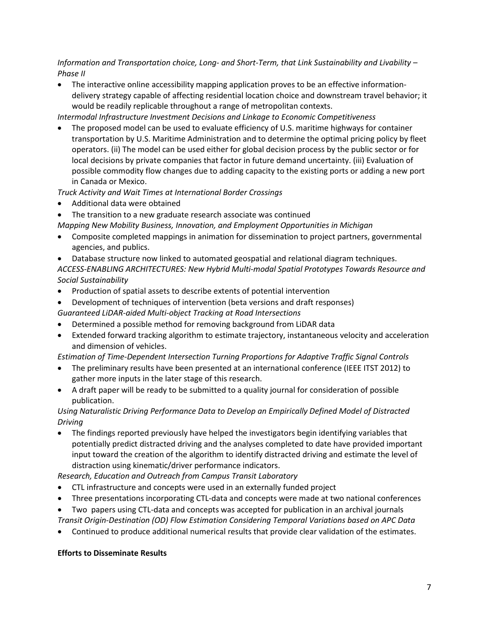*Information and Transportation choice, Long- and Short-Term, that Link Sustainability and Livability – Phase II*

• The interactive online accessibility mapping application proves to be an effective informationdelivery strategy capable of affecting residential location choice and downstream travel behavior; it would be readily replicable throughout a range of metropolitan contexts.

*Intermodal Infrastructure Investment Decisions and Linkage to Economic Competitiveness*

• The proposed model can be used to evaluate efficiency of U.S. maritime highways for container transportation by U.S. Maritime Administration and to determine the optimal pricing policy by fleet operators. (ii) The model can be used either for global decision process by the public sector or for local decisions by private companies that factor in future demand uncertainty. (iii) Evaluation of possible commodity flow changes due to adding capacity to the existing ports or adding a new port in Canada or Mexico.

# *Truck Activity and Wait Times at International Border Crossings*

- Additional data were obtained
- The transition to a new graduate research associate was continued
- *Mapping New Mobility Business, Innovation, and Employment Opportunities in Michigan*
- Composite completed mappings in animation for dissemination to project partners, governmental agencies, and publics.
- Database structure now linked to automated geospatial and relational diagram techniques. *ACCESS-ENABLING ARCHITECTURES: New Hybrid Multi-modal Spatial Prototypes Towards Resource and Social Sustainability*
- Production of spatial assets to describe extents of potential intervention
- Development of techniques of intervention (beta versions and draft responses)

*Guaranteed LiDAR-aided Multi-object Tracking at Road Intersections*

- Determined a possible method for removing background from LiDAR data
- Extended forward tracking algorithm to estimate trajectory, instantaneous velocity and acceleration and dimension of vehicles.

# *Estimation of Time-Dependent Intersection Turning Proportions for Adaptive Traffic Signal Controls*

- The preliminary results have been presented at an international conference (IEEE ITST 2012) to gather more inputs in the later stage of this research.
- A draft paper will be ready to be submitted to a quality journal for consideration of possible publication.

# *Using Naturalistic Driving Performance Data to Develop an Empirically Defined Model of Distracted Driving*

• The findings reported previously have helped the investigators begin identifying variables that potentially predict distracted driving and the analyses completed to date have provided important input toward the creation of the algorithm to identify distracted driving and estimate the level of distraction using kinematic/driver performance indicators.

# *Research, Education and Outreach from Campus Transit Laboratory*

- CTL infrastructure and concepts were used in an externally funded project
- Three presentations incorporating CTL-data and concepts were made at two national conferences
- Two papers using CTL-data and concepts was accepted for publication in an archival journals *Transit Origin-Destination (OD) Flow Estimation Considering Temporal Variations based on APC Data*
- Continued to produce additional numerical results that provide clear validation of the estimates.

# **Efforts to Disseminate Results**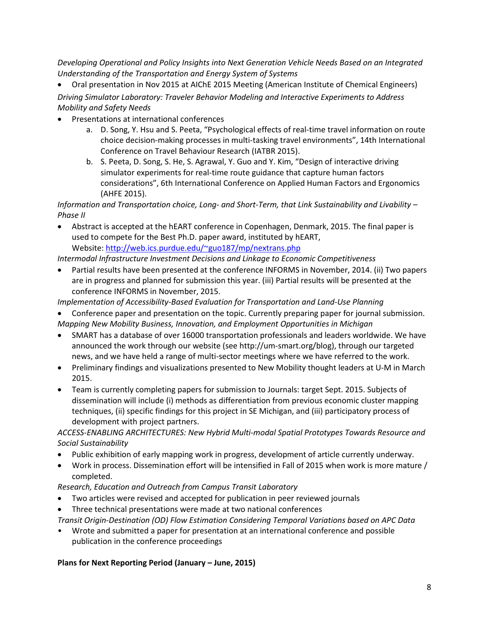*Developing Operational and Policy Insights into Next Generation Vehicle Needs Based on an Integrated Understanding of the Transportation and Energy System of Systems*

• Oral presentation in Nov 2015 at AIChE 2015 Meeting (American Institute of Chemical Engineers) *Driving Simulator Laboratory: Traveler Behavior Modeling and Interactive Experiments to Address Mobility and Safety Needs*

- Presentations at international conferences
	- a. D. Song, Y. Hsu and S. Peeta, "Psychological effects of real-time travel information on route choice decision-making processes in multi-tasking travel environments", 14th International Conference on Travel Behaviour Research (IATBR 2015).
	- b. S. Peeta, D. Song, S. He, S. Agrawal, Y. Guo and Y. Kim, "Design of interactive driving simulator experiments for real-time route guidance that capture human factors considerations", 6th International Conference on Applied Human Factors and Ergonomics (AHFE 2015).

*Information and Transportation choice, Long- and Short-Term, that Link Sustainability and Livability – Phase II*

• Abstract is accepted at the hEART conference in Copenhagen, Denmark, 2015. The final paper is used to compete for the Best Ph.D. paper award, instituted by hEART, Website[: http://web.ics.purdue.edu/~guo187/mp/nextrans.php](http://web.ics.purdue.edu/%7Eguo187/mp/nextrans.php)

*Intermodal Infrastructure Investment Decisions and Linkage to Economic Competitiveness*

• Partial results have been presented at the conference INFORMS in November, 2014. (ii) Two papers are in progress and planned for submission this year. (iii) Partial results will be presented at the conference INFORMS in November, 2015.

*Implementation of Accessibility-Based Evaluation for Transportation and Land-Use Planning*

- Conference paper and presentation on the topic. Currently preparing paper for journal submission. *Mapping New Mobility Business, Innovation, and Employment Opportunities in Michigan*
- SMART has a database of over 16000 transportation professionals and leaders worldwide. We have announced the work through our website (see http://um-smart.org/blog), through our targeted news, and we have held a range of multi-sector meetings where we have referred to the work.
- Preliminary findings and visualizations presented to New Mobility thought leaders at U-M in March 2015.
- Team is currently completing papers for submission to Journals: target Sept. 2015. Subjects of dissemination will include (i) methods as differentiation from previous economic cluster mapping techniques, (ii) specific findings for this project in SE Michigan, and (iii) participatory process of development with project partners.

*ACCESS-ENABLING ARCHITECTURES: New Hybrid Multi-modal Spatial Prototypes Towards Resource and Social Sustainability*

- Public exhibition of early mapping work in progress, development of article currently underway.
- Work in process. Dissemination effort will be intensified in Fall of 2015 when work is more mature / completed.

*Research, Education and Outreach from Campus Transit Laboratory*

- Two articles were revised and accepted for publication in peer reviewed journals
- Three technical presentations were made at two national conferences

*Transit Origin-Destination (OD) Flow Estimation Considering Temporal Variations based on APC Data*

• Wrote and submitted a paper for presentation at an international conference and possible publication in the conference proceedings

# **Plans for Next Reporting Period (January – June, 2015)**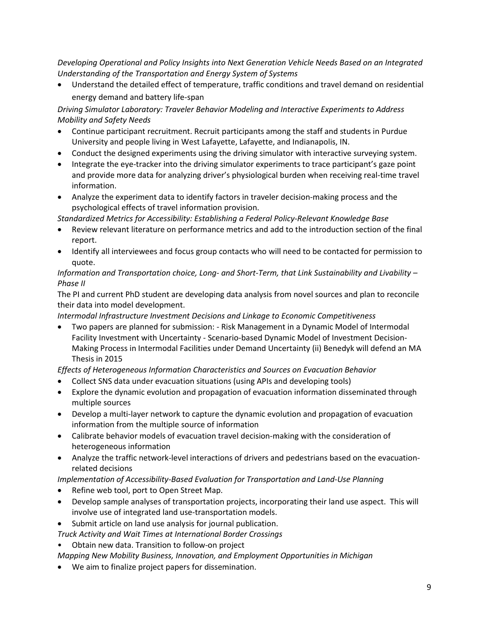*Developing Operational and Policy Insights into Next Generation Vehicle Needs Based on an Integrated Understanding of the Transportation and Energy System of Systems*

• Understand the detailed effect of temperature, traffic conditions and travel demand on residential energy demand and battery life-span

*Driving Simulator Laboratory: Traveler Behavior Modeling and Interactive Experiments to Address Mobility and Safety Needs*

- Continue participant recruitment. Recruit participants among the staff and students in Purdue University and people living in West Lafayette, Lafayette, and Indianapolis, IN.
- Conduct the designed experiments using the driving simulator with interactive surveying system.
- Integrate the eye-tracker into the driving simulator experiments to trace participant's gaze point and provide more data for analyzing driver's physiological burden when receiving real-time travel information.
- Analyze the experiment data to identify factors in traveler decision-making process and the psychological effects of travel information provision.

*Standardized Metrics for Accessibility: Establishing a Federal Policy-Relevant Knowledge Base*

- Review relevant literature on performance metrics and add to the introduction section of the final report.
- Identify all interviewees and focus group contacts who will need to be contacted for permission to quote.

# *Information and Transportation choice, Long- and Short-Term, that Link Sustainability and Livability – Phase II*

The PI and current PhD student are developing data analysis from novel sources and plan to reconcile their data into model development.

*Intermodal Infrastructure Investment Decisions and Linkage to Economic Competitiveness*

• Two papers are planned for submission: - Risk Management in a Dynamic Model of Intermodal Facility Investment with Uncertainty - Scenario-based Dynamic Model of Investment Decision-Making Process in Intermodal Facilities under Demand Uncertainty (ii) Benedyk will defend an MA Thesis in 2015

*Effects of Heterogeneous Information Characteristics and Sources on Evacuation Behavior*

- Collect SNS data under evacuation situations (using APIs and developing tools)
- Explore the dynamic evolution and propagation of evacuation information disseminated through multiple sources
- Develop a multi-layer network to capture the dynamic evolution and propagation of evacuation information from the multiple source of information
- Calibrate behavior models of evacuation travel decision-making with the consideration of heterogeneous information
- Analyze the traffic network-level interactions of drivers and pedestrians based on the evacuationrelated decisions

# *Implementation of Accessibility-Based Evaluation for Transportation and Land-Use Planning*

- Refine web tool, port to Open Street Map.
- Develop sample analyses of transportation projects, incorporating their land use aspect. This will involve use of integrated land use-transportation models.
- Submit article on land use analysis for journal publication.

*Truck Activity and Wait Times at International Border Crossings*

• Obtain new data. Transition to follow-on project

*Mapping New Mobility Business, Innovation, and Employment Opportunities in Michigan*

• We aim to finalize project papers for dissemination.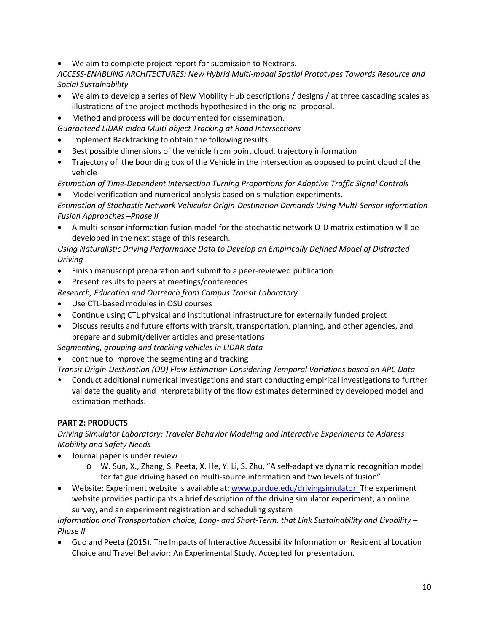• We aim to complete project report for submission to Nextrans.

*ACCESS-ENABLING ARCHITECTURES: New Hybrid Multi-modal Spatial Prototypes Towards Resource and Social Sustainability*

- We aim to develop a series of New Mobility Hub descriptions / designs / at three cascading scales as illustrations of the project methods hypothesized in the original proposal.
- Method and process will be documented for dissemination.
- *Guaranteed LiDAR-aided Multi-object Tracking at Road Intersections*
- Implement Backtracking to obtain the following results
- Best possible dimensions of the vehicle from point cloud, trajectory information
- Trajectory of the bounding box of the Vehicle in the intersection as opposed to point cloud of the vehicle

*Estimation of Time-Dependent Intersection Turning Proportions for Adaptive Traffic Signal Controls*

• Model verification and numerical analysis based on simulation experiments.

*Estimation of Stochastic Network Vehicular Origin-Destination Demands Using Multi-Sensor Information Fusion Approaches –Phase II*

• A multi-sensor information fusion model for the stochastic network O-D matrix estimation will be developed in the next stage of this research.

*Using Naturalistic Driving Performance Data to Develop an Empirically Defined Model of Distracted Driving*

- Finish manuscript preparation and submit to a peer-reviewed publication
- Present results to peers at meetings/conferences

*Research, Education and Outreach from Campus Transit Laboratory*

- Use CTL-based modules in OSU courses
- Continue using CTL physical and institutional infrastructure for externally funded project
- Discuss results and future efforts with transit, transportation, planning, and other agencies, and prepare and submit/deliver articles and presentations

*Segmenting, grouping and tracking vehicles in LIDAR data*

• continue to improve the segmenting and tracking

*Transit Origin-Destination (OD) Flow Estimation Considering Temporal Variations based on APC Data*

• Conduct additional numerical investigations and start conducting empirical investigations to further validate the quality and interpretability of the flow estimates determined by developed model and estimation methods.

# **PART 2: PRODUCTS**

*Driving Simulator Laboratory: Traveler Behavior Modeling and Interactive Experiments to Address Mobility and Safety Needs*

- Journal paper is under review
	- o W. Sun, X., Zhang, S. Peeta, X. He, Y. Li, S. Zhu, "A self-adaptive dynamic recognition model for fatigue driving based on multi-source information and two levels of fusion".
- Website: Experiment website is available at: [www.purdue.edu/drivingsimulator.](http://www.purdue.edu/drivingsimulator) The experiment website provides participants a brief description of the driving simulator experiment, an online survey, and an experiment registration and scheduling system

*Information and Transportation choice, Long- and Short-Term, that Link Sustainability and Livability – Phase II*

• Guo and Peeta (2015). The Impacts of Interactive Accessibility Information on Residential Location Choice and Travel Behavior: An Experimental Study. Accepted for presentation.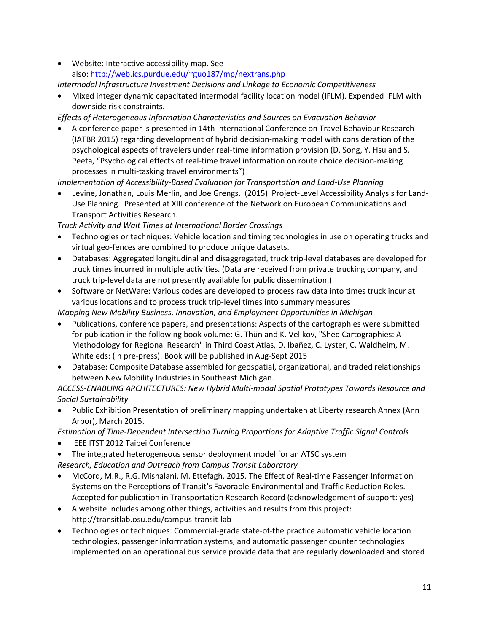• Website: Interactive accessibility map. See also: [http://web.ics.purdue.edu/~guo187/mp/nextrans.php](http://web.ics.purdue.edu/%7Eguo187/mp/nextrans.php)

*Intermodal Infrastructure Investment Decisions and Linkage to Economic Competitiveness*

• Mixed integer dynamic capacitated intermodal facility location model (IFLM). Expended IFLM with downside risk constraints.

*Effects of Heterogeneous Information Characteristics and Sources on Evacuation Behavior*

• A conference paper is presented in 14th International Conference on Travel Behaviour Research (IATBR 2015) regarding development of hybrid decision-making model with consideration of the psychological aspects of travelers under real-time information provision (D. Song, Y. Hsu and S. Peeta, "Psychological effects of real-time travel information on route choice decision-making processes in multi-tasking travel environments")

*Implementation of Accessibility-Based Evaluation for Transportation and Land-Use Planning*

• Levine, Jonathan, Louis Merlin, and Joe Grengs. (2015) Project-Level Accessibility Analysis for Land-Use Planning. Presented at XIII conference of the Network on European Communications and Transport Activities Research.

*Truck Activity and Wait Times at International Border Crossings*

- Technologies or techniques: Vehicle location and timing technologies in use on operating trucks and virtual geo-fences are combined to produce unique datasets.
- Databases: Aggregated longitudinal and disaggregated, truck trip-level databases are developed for truck times incurred in multiple activities. (Data are received from private trucking company, and truck trip-level data are not presently available for public dissemination.)
- Software or NetWare: Various codes are developed to process raw data into times truck incur at various locations and to process truck trip-level times into summary measures

*Mapping New Mobility Business, Innovation, and Employment Opportunities in Michigan*

- Publications, conference papers, and presentations: Aspects of the cartographies were submitted for publication in the following book volume: G. Thün and K. Velikov, "Shed Cartographies: A Methodology for Regional Research" in Third Coast Atlas, D. Ibañez, C. Lyster, C. Waldheim, M. White eds: (in pre-press). Book will be published in Aug-Sept 2015
- Database: Composite Database assembled for geospatial, organizational, and traded relationships between New Mobility Industries in Southeast Michigan.

*ACCESS-ENABLING ARCHITECTURES: New Hybrid Multi-modal Spatial Prototypes Towards Resource and Social Sustainability*

• Public Exhibition Presentation of preliminary mapping undertaken at Liberty research Annex (Ann Arbor), March 2015.

*Estimation of Time-Dependent Intersection Turning Proportions for Adaptive Traffic Signal Controls*

- IEEE ITST 2012 Taipei Conference
- The integrated heterogeneous sensor deployment model for an ATSC system *Research, Education and Outreach from Campus Transit Laboratory*
- McCord, M.R., R.G. Mishalani, M. Ettefagh, 2015. The Effect of Real-time Passenger Information Systems on the Perceptions of Transit's Favorable Environmental and Traffic Reduction Roles. Accepted for publication in Transportation Research Record (acknowledgement of support: yes)
- A website includes among other things, activities and results from this project: http://transitlab.osu.edu/campus-transit-lab
- Technologies or techniques: Commercial-grade state-of-the practice automatic vehicle location technologies, passenger information systems, and automatic passenger counter technologies implemented on an operational bus service provide data that are regularly downloaded and stored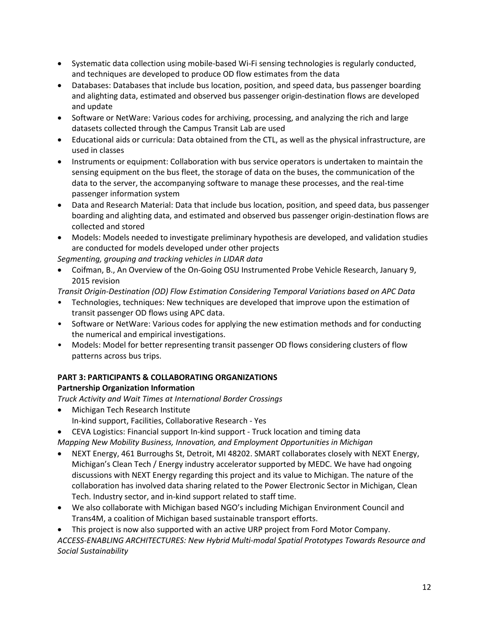- Systematic data collection using mobile-based Wi-Fi sensing technologies is regularly conducted, and techniques are developed to produce OD flow estimates from the data
- Databases: Databases that include bus location, position, and speed data, bus passenger boarding and alighting data, estimated and observed bus passenger origin-destination flows are developed and update
- Software or NetWare: Various codes for archiving, processing, and analyzing the rich and large datasets collected through the Campus Transit Lab are used
- Educational aids or curricula: Data obtained from the CTL, as well as the physical infrastructure, are used in classes
- Instruments or equipment: Collaboration with bus service operators is undertaken to maintain the sensing equipment on the bus fleet, the storage of data on the buses, the communication of the data to the server, the accompanying software to manage these processes, and the real-time passenger information system
- Data and Research Material: Data that include bus location, position, and speed data, bus passenger boarding and alighting data, and estimated and observed bus passenger origin-destination flows are collected and stored
- Models: Models needed to investigate preliminary hypothesis are developed, and validation studies are conducted for models developed under other projects

*Segmenting, grouping and tracking vehicles in LIDAR data*

• Coifman, B., An Overview of the On-Going OSU Instrumented Probe Vehicle Research, January 9, 2015 revision

*Transit Origin-Destination (OD) Flow Estimation Considering Temporal Variations based on APC Data*

- Technologies, techniques: New techniques are developed that improve upon the estimation of transit passenger OD flows using APC data.
- Software or NetWare: Various codes for applying the new estimation methods and for conducting the numerical and empirical investigations.
- Models: Model for better representing transit passenger OD flows considering clusters of flow patterns across bus trips.

# **PART 3: PARTICIPANTS & COLLABORATING ORGANIZATIONS**

# **Partnership Organization Information**

*Truck Activity and Wait Times at International Border Crossings*

- Michigan Tech Research Institute In-kind support, Facilities, Collaborative Research - Yes
- CEVA Logistics: Financial support In-kind support Truck location and timing data

*Mapping New Mobility Business, Innovation, and Employment Opportunities in Michigan*

- NEXT Energy, 461 Burroughs St, Detroit, MI 48202. SMART collaborates closely with NEXT Energy, Michigan's Clean Tech / Energy industry accelerator supported by MEDC. We have had ongoing discussions with NEXT Energy regarding this project and its value to Michigan. The nature of the collaboration has involved data sharing related to the Power Electronic Sector in Michigan, Clean Tech. Industry sector, and in-kind support related to staff time.
- We also collaborate with Michigan based NGO's including Michigan Environment Council and Trans4M, a coalition of Michigan based sustainable transport efforts.

• This project is now also supported with an active URP project from Ford Motor Company. *ACCESS-ENABLING ARCHITECTURES: New Hybrid Multi-modal Spatial Prototypes Towards Resource and Social Sustainability*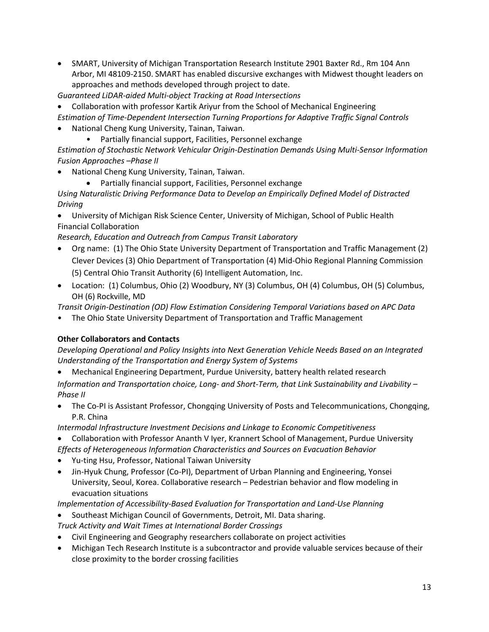• SMART, University of Michigan Transportation Research Institute 2901 Baxter Rd., Rm 104 Ann Arbor, MI 48109-2150. SMART has enabled discursive exchanges with Midwest thought leaders on approaches and methods developed through project to date.

*Guaranteed LiDAR-aided Multi-object Tracking at Road Intersections*

- Collaboration with professor Kartik Ariyur from the School of Mechanical Engineering
- *Estimation of Time-Dependent Intersection Turning Proportions for Adaptive Traffic Signal Controls*
- National Cheng Kung University, Tainan, Taiwan.
	- Partially financial support, Facilities, Personnel exchange

*Estimation of Stochastic Network Vehicular Origin-Destination Demands Using Multi-Sensor Information Fusion Approaches –Phase II*

- National Cheng Kung University, Tainan, Taiwan.
	- Partially financial support, Facilities, Personnel exchange

*Using Naturalistic Driving Performance Data to Develop an Empirically Defined Model of Distracted Driving*

• University of Michigan Risk Science Center, University of Michigan, School of Public Health Financial Collaboration

*Research, Education and Outreach from Campus Transit Laboratory*

- Org name: (1) The Ohio State University Department of Transportation and Traffic Management (2) Clever Devices (3) Ohio Department of Transportation (4) Mid-Ohio Regional Planning Commission (5) Central Ohio Transit Authority (6) Intelligent Automation, Inc.
- Location: (1) Columbus, Ohio (2) Woodbury, NY (3) Columbus, OH (4) Columbus, OH (5) Columbus, OH (6) Rockville, MD

*Transit Origin-Destination (OD) Flow Estimation Considering Temporal Variations based on APC Data*

• The Ohio State University Department of Transportation and Traffic Management

#### **Other Collaborators and Contacts**

*Developing Operational and Policy Insights into Next Generation Vehicle Needs Based on an Integrated Understanding of the Transportation and Energy System of Systems*

• Mechanical Engineering Department, Purdue University, battery health related research

*Information and Transportation choice, Long- and Short-Term, that Link Sustainability and Livability – Phase II*

• The Co-PI is Assistant Professor, Chongqing University of Posts and Telecommunications, Chongqing, P.R. China

*Intermodal Infrastructure Investment Decisions and Linkage to Economic Competitiveness*

- Collaboration with Professor Ananth V Iyer, Krannert School of Management, Purdue University
- *Effects of Heterogeneous Information Characteristics and Sources on Evacuation Behavior*
- Yu-ting Hsu, Professor, National Taiwan University
- Jin-Hyuk Chung, Professor (Co-PI), Department of Urban Planning and Engineering, Yonsei University, Seoul, Korea. Collaborative research – Pedestrian behavior and flow modeling in evacuation situations

*Implementation of Accessibility-Based Evaluation for Transportation and Land-Use Planning*

- Southeast Michigan Council of Governments, Detroit, MI. Data sharing.
- *Truck Activity and Wait Times at International Border Crossings*
- Civil Engineering and Geography researchers collaborate on project activities
- Michigan Tech Research Institute is a subcontractor and provide valuable services because of their close proximity to the border crossing facilities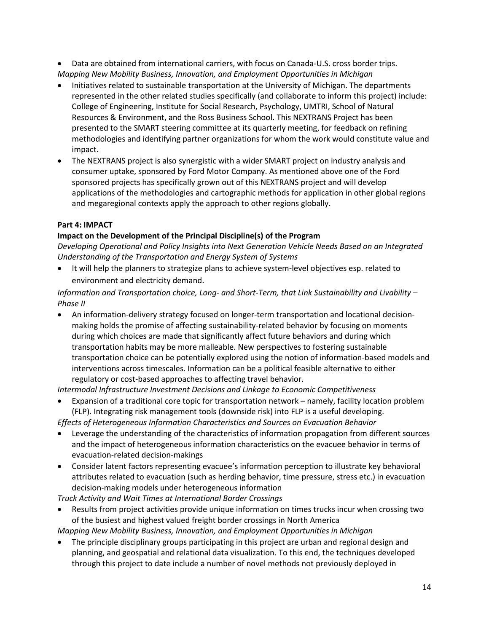• Data are obtained from international carriers, with focus on Canada-U.S. cross border trips. *Mapping New Mobility Business, Innovation, and Employment Opportunities in Michigan*

- Initiatives related to sustainable transportation at the University of Michigan. The departments represented in the other related studies specifically (and collaborate to inform this project) include: College of Engineering, Institute for Social Research, Psychology, UMTRI, School of Natural Resources & Environment, and the Ross Business School. This NEXTRANS Project has been presented to the SMART steering committee at its quarterly meeting, for feedback on refining methodologies and identifying partner organizations for whom the work would constitute value and impact.
- The NEXTRANS project is also synergistic with a wider SMART project on industry analysis and consumer uptake, sponsored by Ford Motor Company. As mentioned above one of the Ford sponsored projects has specifically grown out of this NEXTRANS project and will develop applications of the methodologies and cartographic methods for application in other global regions and megaregional contexts apply the approach to other regions globally.

# **Part 4: IMPACT**

# **Impact on the Development of the Principal Discipline(s) of the Program**

*Developing Operational and Policy Insights into Next Generation Vehicle Needs Based on an Integrated Understanding of the Transportation and Energy System of Systems*

• It will help the planners to strategize plans to achieve system-level objectives esp. related to environment and electricity demand.

*Information and Transportation choice, Long- and Short-Term, that Link Sustainability and Livability – Phase II*

• An information-delivery strategy focused on longer-term transportation and locational decisionmaking holds the promise of affecting sustainability-related behavior by focusing on moments during which choices are made that significantly affect future behaviors and during which transportation habits may be more malleable. New perspectives to fostering sustainable transportation choice can be potentially explored using the notion of information-based models and interventions across timescales. Information can be a political feasible alternative to either regulatory or cost-based approaches to affecting travel behavior.

*Intermodal Infrastructure Investment Decisions and Linkage to Economic Competitiveness*

• Expansion of a traditional core topic for transportation network – namely, facility location problem (FLP). Integrating risk management tools (downside risk) into FLP is a useful developing.

*Effects of Heterogeneous Information Characteristics and Sources on Evacuation Behavior*

- Leverage the understanding of the characteristics of information propagation from different sources and the impact of heterogeneous information characteristics on the evacuee behavior in terms of evacuation-related decision-makings
- Consider latent factors representing evacuee's information perception to illustrate key behavioral attributes related to evacuation (such as herding behavior, time pressure, stress etc.) in evacuation decision-making models under heterogeneous information

*Truck Activity and Wait Times at International Border Crossings*

• Results from project activities provide unique information on times trucks incur when crossing two of the busiest and highest valued freight border crossings in North America

*Mapping New Mobility Business, Innovation, and Employment Opportunities in Michigan*

• The principle disciplinary groups participating in this project are urban and regional design and planning, and geospatial and relational data visualization. To this end, the techniques developed through this project to date include a number of novel methods not previously deployed in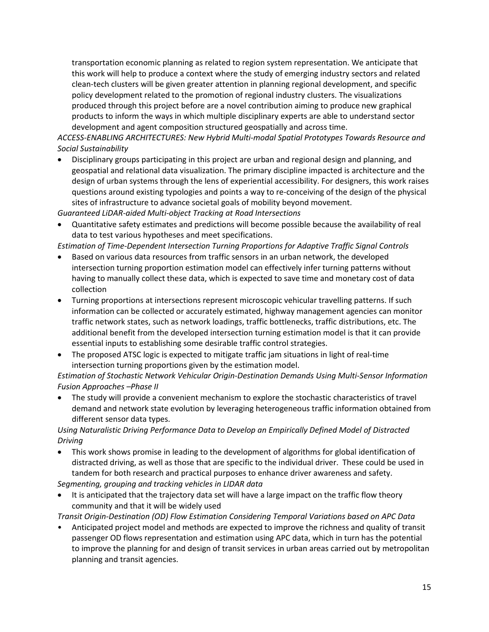transportation economic planning as related to region system representation. We anticipate that this work will help to produce a context where the study of emerging industry sectors and related clean-tech clusters will be given greater attention in planning regional development, and specific policy development related to the promotion of regional industry clusters. The visualizations produced through this project before are a novel contribution aiming to produce new graphical products to inform the ways in which multiple disciplinary experts are able to understand sector development and agent composition structured geospatially and across time.

*ACCESS-ENABLING ARCHITECTURES: New Hybrid Multi-modal Spatial Prototypes Towards Resource and Social Sustainability*

• Disciplinary groups participating in this project are urban and regional design and planning, and geospatial and relational data visualization. The primary discipline impacted is architecture and the design of urban systems through the lens of experiential accessibility. For designers, this work raises questions around existing typologies and points a way to re-conceiving of the design of the physical sites of infrastructure to advance societal goals of mobility beyond movement.

*Guaranteed LiDAR-aided Multi-object Tracking at Road Intersections*

• Quantitative safety estimates and predictions will become possible because the availability of real data to test various hypotheses and meet specifications.

*Estimation of Time-Dependent Intersection Turning Proportions for Adaptive Traffic Signal Controls*

- Based on various data resources from traffic sensors in an urban network, the developed intersection turning proportion estimation model can effectively infer turning patterns without having to manually collect these data, which is expected to save time and monetary cost of data collection
- Turning proportions at intersections represent microscopic vehicular travelling patterns. If such information can be collected or accurately estimated, highway management agencies can monitor traffic network states, such as network loadings, traffic bottlenecks, traffic distributions, etc. The additional benefit from the developed intersection turning estimation model is that it can provide essential inputs to establishing some desirable traffic control strategies.
- The proposed ATSC logic is expected to mitigate traffic jam situations in light of real-time intersection turning proportions given by the estimation model.

*Estimation of Stochastic Network Vehicular Origin-Destination Demands Using Multi-Sensor Information Fusion Approaches –Phase II*

• The study will provide a convenient mechanism to explore the stochastic characteristics of travel demand and network state evolution by leveraging heterogeneous traffic information obtained from different sensor data types.

# *Using Naturalistic Driving Performance Data to Develop an Empirically Defined Model of Distracted Driving*

• This work shows promise in leading to the development of algorithms for global identification of distracted driving, as well as those that are specific to the individual driver. These could be used in tandem for both research and practical purposes to enhance driver awareness and safety.

*Segmenting, grouping and tracking vehicles in LIDAR data*

It is anticipated that the trajectory data set will have a large impact on the traffic flow theory community and that it will be widely used

*Transit Origin-Destination (OD) Flow Estimation Considering Temporal Variations based on APC Data*

• Anticipated project model and methods are expected to improve the richness and quality of transit passenger OD flows representation and estimation using APC data, which in turn has the potential to improve the planning for and design of transit services in urban areas carried out by metropolitan planning and transit agencies.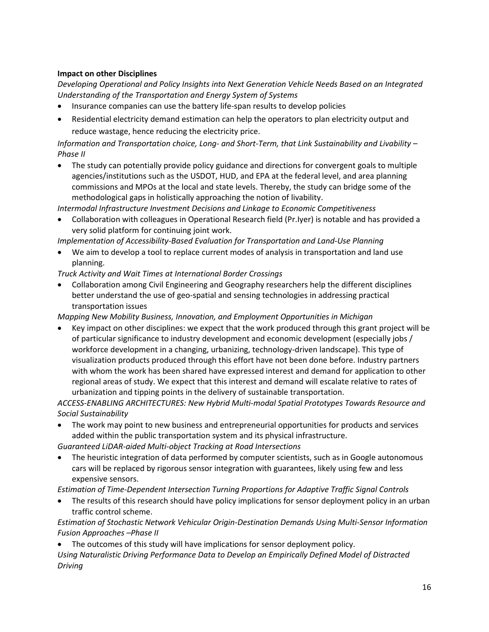# **Impact on other Disciplines**

*Developing Operational and Policy Insights into Next Generation Vehicle Needs Based on an Integrated Understanding of the Transportation and Energy System of Systems*

- Insurance companies can use the battery life-span results to develop policies
- Residential electricity demand estimation can help the operators to plan electricity output and reduce wastage, hence reducing the electricity price.

*Information and Transportation choice, Long- and Short-Term, that Link Sustainability and Livability – Phase II*

• The study can potentially provide policy guidance and directions for convergent goals to multiple agencies/institutions such as the USDOT, HUD, and EPA at the federal level, and area planning commissions and MPOs at the local and state levels. Thereby, the study can bridge some of the methodological gaps in holistically approaching the notion of livability.

*Intermodal Infrastructure Investment Decisions and Linkage to Economic Competitiveness*

• Collaboration with colleagues in Operational Research field (Pr.Iyer) is notable and has provided a very solid platform for continuing joint work.

*Implementation of Accessibility-Based Evaluation for Transportation and Land-Use Planning*

• We aim to develop a tool to replace current modes of analysis in transportation and land use planning.

# *Truck Activity and Wait Times at International Border Crossings*

• Collaboration among Civil Engineering and Geography researchers help the different disciplines better understand the use of geo-spatial and sensing technologies in addressing practical transportation issues

*Mapping New Mobility Business, Innovation, and Employment Opportunities in Michigan*

• Key impact on other disciplines: we expect that the work produced through this grant project will be of particular significance to industry development and economic development (especially jobs / workforce development in a changing, urbanizing, technology-driven landscape). This type of visualization products produced through this effort have not been done before. Industry partners with whom the work has been shared have expressed interest and demand for application to other regional areas of study. We expect that this interest and demand will escalate relative to rates of urbanization and tipping points in the delivery of sustainable transportation.

*ACCESS-ENABLING ARCHITECTURES: New Hybrid Multi-modal Spatial Prototypes Towards Resource and Social Sustainability*

• The work may point to new business and entrepreneurial opportunities for products and services added within the public transportation system and its physical infrastructure.

*Guaranteed LiDAR-aided Multi-object Tracking at Road Intersections*

• The heuristic integration of data performed by computer scientists, such as in Google autonomous cars will be replaced by rigorous sensor integration with guarantees, likely using few and less expensive sensors.

*Estimation of Time-Dependent Intersection Turning Proportions for Adaptive Traffic Signal Controls*

The results of this research should have policy implications for sensor deployment policy in an urban traffic control scheme.

*Estimation of Stochastic Network Vehicular Origin-Destination Demands Using Multi-Sensor Information Fusion Approaches –Phase II*

• The outcomes of this study will have implications for sensor deployment policy.

*Using Naturalistic Driving Performance Data to Develop an Empirically Defined Model of Distracted Driving*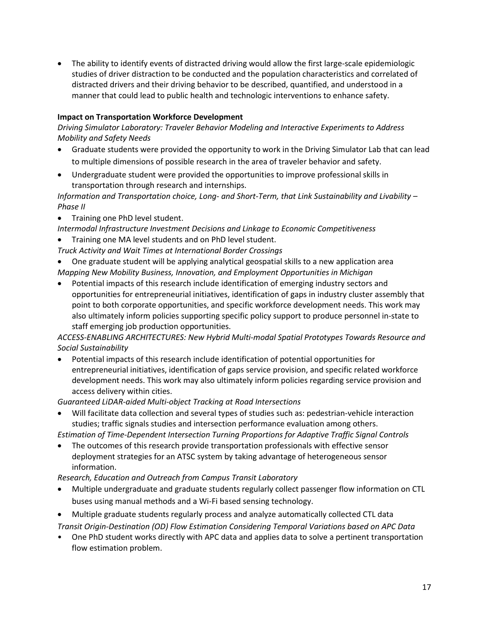• The ability to identify events of distracted driving would allow the first large-scale epidemiologic studies of driver distraction to be conducted and the population characteristics and correlated of distracted drivers and their driving behavior to be described, quantified, and understood in a manner that could lead to public health and technologic interventions to enhance safety.

# **Impact on Transportation Workforce Development**

*Driving Simulator Laboratory: Traveler Behavior Modeling and Interactive Experiments to Address Mobility and Safety Needs*

- Graduate students were provided the opportunity to work in the Driving Simulator Lab that can lead to multiple dimensions of possible research in the area of traveler behavior and safety.
- Undergraduate student were provided the opportunities to improve professional skills in transportation through research and internships.

*Information and Transportation choice, Long- and Short-Term, that Link Sustainability and Livability – Phase II*

• Training one PhD level student.

*Intermodal Infrastructure Investment Decisions and Linkage to Economic Competitiveness*

- Training one MA level students and on PhD level student.
- *Truck Activity and Wait Times at International Border Crossings*

• One graduate student will be applying analytical geospatial skills to a new application area *Mapping New Mobility Business, Innovation, and Employment Opportunities in Michigan*

• Potential impacts of this research include identification of emerging industry sectors and opportunities for entrepreneurial initiatives, identification of gaps in industry cluster assembly that point to both corporate opportunities, and specific workforce development needs. This work may also ultimately inform policies supporting specific policy support to produce personnel in-state to staff emerging job production opportunities.

*ACCESS-ENABLING ARCHITECTURES: New Hybrid Multi-modal Spatial Prototypes Towards Resource and Social Sustainability*

• Potential impacts of this research include identification of potential opportunities for entrepreneurial initiatives, identification of gaps service provision, and specific related workforce development needs. This work may also ultimately inform policies regarding service provision and access delivery within cities.

*Guaranteed LiDAR-aided Multi-object Tracking at Road Intersections*

• Will facilitate data collection and several types of studies such as: pedestrian-vehicle interaction studies; traffic signals studies and intersection performance evaluation among others.

*Estimation of Time-Dependent Intersection Turning Proportions for Adaptive Traffic Signal Controls*

• The outcomes of this research provide transportation professionals with effective sensor deployment strategies for an ATSC system by taking advantage of heterogeneous sensor information.

*Research, Education and Outreach from Campus Transit Laboratory*

- Multiple undergraduate and graduate students regularly collect passenger flow information on CTL buses using manual methods and a Wi-Fi based sensing technology.
- Multiple graduate students regularly process and analyze automatically collected CTL data
- *Transit Origin-Destination (OD) Flow Estimation Considering Temporal Variations based on APC Data*
- One PhD student works directly with APC data and applies data to solve a pertinent transportation flow estimation problem.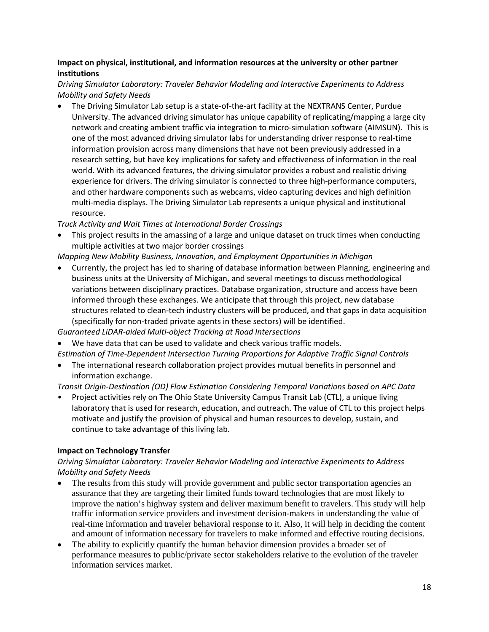# **Impact on physical, institutional, and information resources at the university or other partner institutions**

# *Driving Simulator Laboratory: Traveler Behavior Modeling and Interactive Experiments to Address Mobility and Safety Needs*

• The Driving Simulator Lab setup is a state-of-the-art facility at the NEXTRANS Center, Purdue University. The advanced driving simulator has unique capability of replicating/mapping a large city network and creating ambient traffic via integration to micro-simulation software (AIMSUN). This is one of the most advanced driving simulator labs for understanding driver response to real-time information provision across many dimensions that have not been previously addressed in a research setting, but have key implications for safety and effectiveness of information in the real world. With its advanced features, the driving simulator provides a robust and realistic driving experience for drivers. The driving simulator is connected to three high-performance computers, and other hardware components such as webcams, video capturing devices and high definition multi-media displays. The Driving Simulator Lab represents a unique physical and institutional resource.

*Truck Activity and Wait Times at International Border Crossings*

• This project results in the amassing of a large and unique dataset on truck times when conducting multiple activities at two major border crossings

*Mapping New Mobility Business, Innovation, and Employment Opportunities in Michigan*

• Currently, the project has led to sharing of database information between Planning, engineering and business units at the University of Michigan, and several meetings to discuss methodological variations between disciplinary practices. Database organization, structure and access have been informed through these exchanges. We anticipate that through this project, new database structures related to clean-tech industry clusters will be produced, and that gaps in data acquisition (specifically for non-traded private agents in these sectors) will be identified.

*Guaranteed LiDAR-aided Multi-object Tracking at Road Intersections*

- We have data that can be used to validate and check various traffic models.
- *Estimation of Time-Dependent Intersection Turning Proportions for Adaptive Traffic Signal Controls*
- The international research collaboration project provides mutual benefits in personnel and information exchange.

*Transit Origin-Destination (OD) Flow Estimation Considering Temporal Variations based on APC Data*

• Project activities rely on The Ohio State University Campus Transit Lab (CTL), a unique living laboratory that is used for research, education, and outreach. The value of CTL to this project helps motivate and justify the provision of physical and human resources to develop, sustain, and continue to take advantage of this living lab.

# **Impact on Technology Transfer**

# *Driving Simulator Laboratory: Traveler Behavior Modeling and Interactive Experiments to Address Mobility and Safety Needs*

- The results from this study will provide government and public sector transportation agencies an assurance that they are targeting their limited funds toward technologies that are most likely to improve the nation's highway system and deliver maximum benefit to travelers. This study will help traffic information service providers and investment decision-makers in understanding the value of real-time information and traveler behavioral response to it. Also, it will help in deciding the content and amount of information necessary for travelers to make informed and effective routing decisions.
- The ability to explicitly quantify the human behavior dimension provides a broader set of performance measures to public/private sector stakeholders relative to the evolution of the traveler information services market.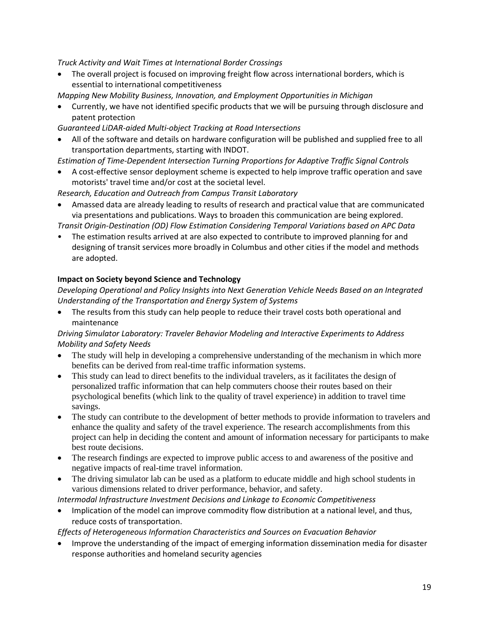*Truck Activity and Wait Times at International Border Crossings*

- The overall project is focused on improving freight flow across international borders, which is essential to international competitiveness
- *Mapping New Mobility Business, Innovation, and Employment Opportunities in Michigan*
- Currently, we have not identified specific products that we will be pursuing through disclosure and patent protection

*Guaranteed LiDAR-aided Multi-object Tracking at Road Intersections*

- All of the software and details on hardware configuration will be published and supplied free to all transportation departments, starting with INDOT.
- *Estimation of Time-Dependent Intersection Turning Proportions for Adaptive Traffic Signal Controls*
- A cost-effective sensor deployment scheme is expected to help improve traffic operation and save motorists' travel time and/or cost at the societal level.

*Research, Education and Outreach from Campus Transit Laboratory*

• Amassed data are already leading to results of research and practical value that are communicated via presentations and publications. Ways to broaden this communication are being explored.

*Transit Origin-Destination (OD) Flow Estimation Considering Temporal Variations based on APC Data*

• The estimation results arrived at are also expected to contribute to improved planning for and designing of transit services more broadly in Columbus and other cities if the model and methods are adopted.

# **Impact on Society beyond Science and Technology**

*Developing Operational and Policy Insights into Next Generation Vehicle Needs Based on an Integrated Understanding of the Transportation and Energy System of Systems*

• The results from this study can help people to reduce their travel costs both operational and maintenance

*Driving Simulator Laboratory: Traveler Behavior Modeling and Interactive Experiments to Address Mobility and Safety Needs*

- The study will help in developing a comprehensive understanding of the mechanism in which more benefits can be derived from real-time traffic information systems.
- This study can lead to direct benefits to the individual travelers, as it facilitates the design of personalized traffic information that can help commuters choose their routes based on their psychological benefits (which link to the quality of travel experience) in addition to travel time savings.
- The study can contribute to the development of better methods to provide information to travelers and enhance the quality and safety of the travel experience. The research accomplishments from this project can help in deciding the content and amount of information necessary for participants to make best route decisions.
- The research findings are expected to improve public access to and awareness of the positive and negative impacts of real-time travel information.
- The driving simulator lab can be used as a platform to educate middle and high school students in various dimensions related to driver performance, behavior, and safety.

*Intermodal Infrastructure Investment Decisions and Linkage to Economic Competitiveness*

• Implication of the model can improve commodity flow distribution at a national level, and thus, reduce costs of transportation.

*Effects of Heterogeneous Information Characteristics and Sources on Evacuation Behavior*

• Improve the understanding of the impact of emerging information dissemination media for disaster response authorities and homeland security agencies